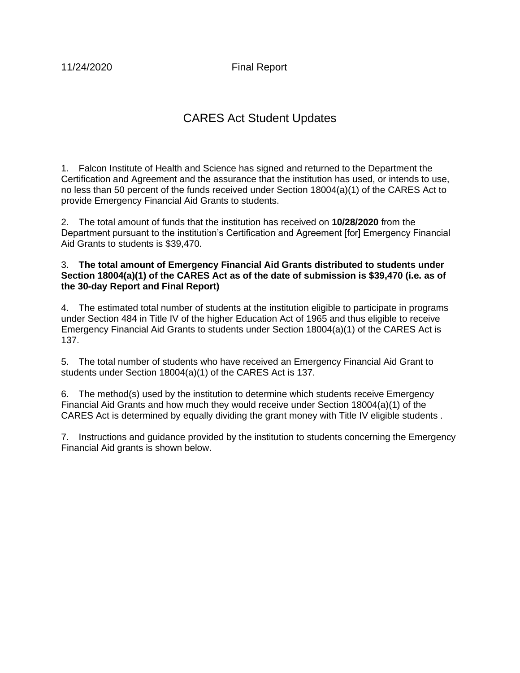11/24/2020 Final Report

## CARES Act Student Updates

1. Falcon Institute of Health and Science has signed and returned to the Department the Certification and Agreement and the assurance that the institution has used, or intends to use, no less than 50 percent of the funds received under Section 18004(a)(1) of the CARES Act to provide Emergency Financial Aid Grants to students.

2. The total amount of funds that the institution has received on **10/28/2020** from the Department pursuant to the institution's Certification and Agreement [for] Emergency Financial Aid Grants to students is \$39,470.

## 3. **The total amount of Emergency Financial Aid Grants distributed to students under Section 18004(a)(1) of the CARES Act as of the date of submission is \$39,470 (i.e. as of the 30-day Report and Final Report)**

4. The estimated total number of students at the institution eligible to participate in programs under Section 484 in Title IV of the higher Education Act of 1965 and thus eligible to receive Emergency Financial Aid Grants to students under Section 18004(a)(1) of the CARES Act is 137.

5. The total number of students who have received an Emergency Financial Aid Grant to students under Section 18004(a)(1) of the CARES Act is 137.

6. The method(s) used by the institution to determine which students receive Emergency Financial Aid Grants and how much they would receive under Section 18004(a)(1) of the CARES Act is determined by equally dividing the grant money with Title IV eligible students .

7. Instructions and guidance provided by the institution to students concerning the Emergency Financial Aid grants is shown below.